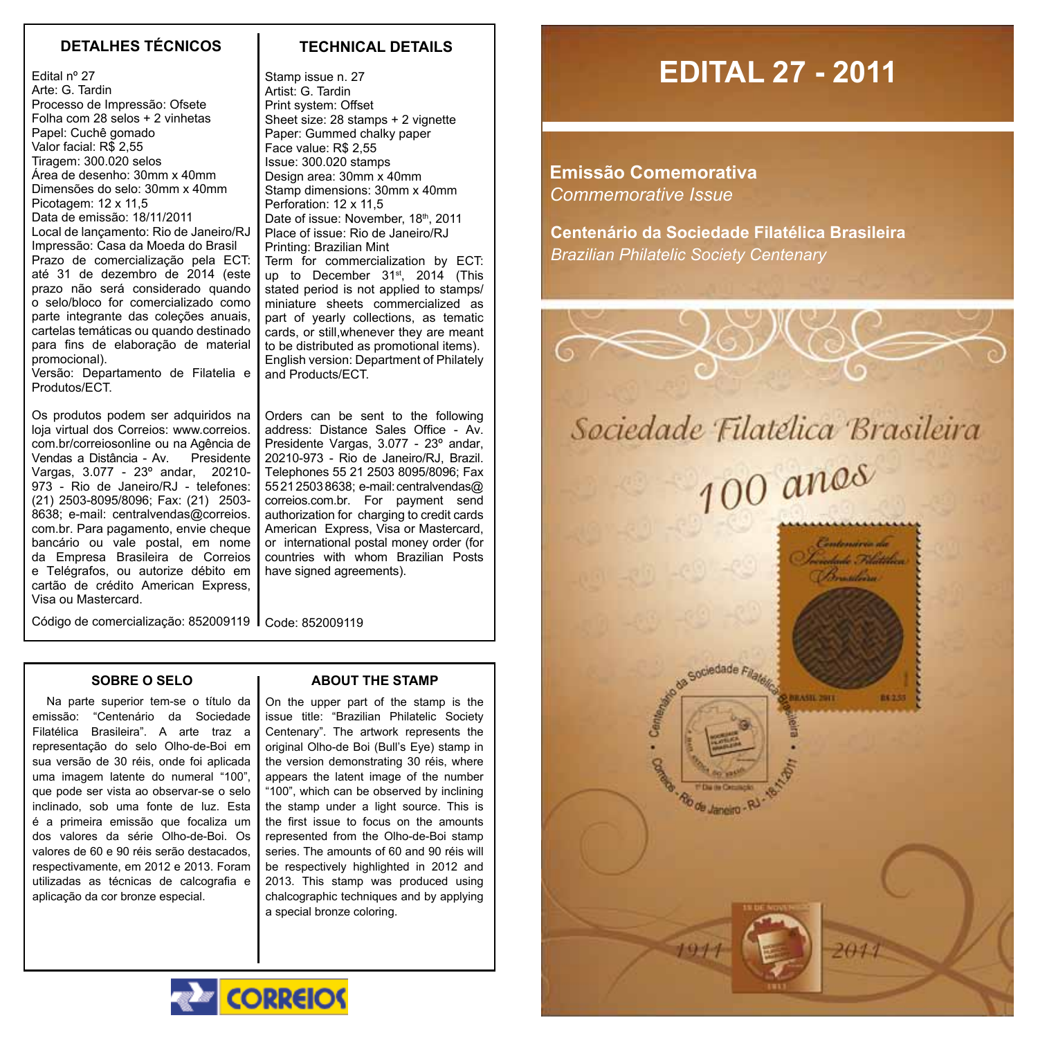# **DETALHES TÉCNICOS TECHNICAL DETAILS**

Edital nº 27 Arte: G. Tardin Processo de Impressão: Ofsete Folha com 28 selos + 2 vinhetas Papel: Cuchê gomado Valor facial: R\$ 2,55 Tiragem: 300.020 selos Área de desenho: 30mm x 40mm Dimensões do selo: 30mm x 40mm Picotagem: 12 x 11,5 Data de emissão: 18/11/2011 Local de lançamento: Rio de Janeiro/RJ Impressão: Casa da Moeda do Brasil Prazo de comercialização pela ECT: até 31 de dezembro de 2014 (este prazo não será considerado quando o selo/bloco for comercializado como parte integrante das coleções anuais, cartelas temáticas ou quando destinado para fins de elaboração de material promocional).

Versão: Departamento de Filatelia e Produtos/ECT.

Os produtos podem ser adquiridos na loja virtual dos Correios: www.correios. com.br/correiosonline ou na Agência de Vendas a Distância - Av. Presidente Vargas, 3.077 - 23º andar, 20210- 973 - Rio de Janeiro/RJ - telefones: (21) 2503-8095/8096; Fax: (21) 2503- 8638; e-mail: centralvendas@correios. com.br. Para pagamento, envie cheque bancário ou vale postal, em nome da Empresa Brasileira de Correios e Telégrafos, ou autorize débito em cartão de crédito American Express, Visa ou Mastercard.

Stamp issue n. 27 Artist: G. Tardin Print system: Offset Sheet size: 28 stamps + 2 vignette Paper: Gummed chalky paper Face value: R\$ 2,55 Issue: 300.020 stamps Design area: 30mm x 40mm Stamp dimensions: 30mm x 40mm Perforation: 12 x 11.5 Date of issue: November, 18th, 2011 Place of issue: Rio de Janeiro/RJ Printing: Brazilian Mint Term for commercialization by ECT: up to December 31<sup>st</sup>, 2014 (This stated period is not applied to stamps/

miniature sheets commercialized as part of yearly collections, as tematic cards, or still,whenever they are meant to be distributed as promotional items). English version: Department of Philately and Products/ECT.

Orders can be sent to the following address: Distance Sales Office - Av. Presidente Vargas, 3.077 - 23º andar, 20210-973 - Rio de Janeiro/RJ, Brazil. Telephones 55 21 2503 8095/8096; Fax 55 21 2503 8638; e-mail: centralvendas@ correios.com.br. For payment send authorization for charging to credit cards American Express, Visa or Mastercard, or international postal money order (for countries with whom Brazilian Posts have signed agreements).

Código de comercialização: 852009119 Code: 852009119

#### **Sobre o Selo**

Na parte superior tem-se o título da emissão: "Centenário da Sociedade Filatélica Brasileira". A arte traz a representação do selo Olho-de-Boi em sua versão de 30 réis, onde foi aplicada uma imagem latente do numeral "100", que pode ser vista ao observar-se o selo inclinado, sob uma fonte de luz. Esta é a primeira emissão que focaliza um dos valores da série Olho-de-Boi. Os valores de 60 e 90 réis serão destacados, respectivamente, em 2012 e 2013. Foram utilizadas as técnicas de calcografia e aplicação da cor bronze especial.

### **ABOUT THE STAMP**

On the upper part of the stamp is the issue title: "Brazilian Philatelic Society Centenary". The artwork represents the original Olho-de Boi (Bull's Eye) stamp in the version demonstrating 30 réis, where appears the latent image of the number "100", which can be observed by inclining the stamp under a light source. This is the first issue to focus on the amounts represented from the Olho-de-Boi stamp series. The amounts of 60 and 90 réis will be respectively highlighted in 2012 and 2013. This stamp was produced using chalcographic techniques and by applying a special bronze coloring.

# **EDITAL 27 - 2011**

**Emissão Comemorativa** *Commemorative Issue*

**Centenário da Sociedade Filatélica Brasileira** *Brazilian Philatelic Society Centenary*